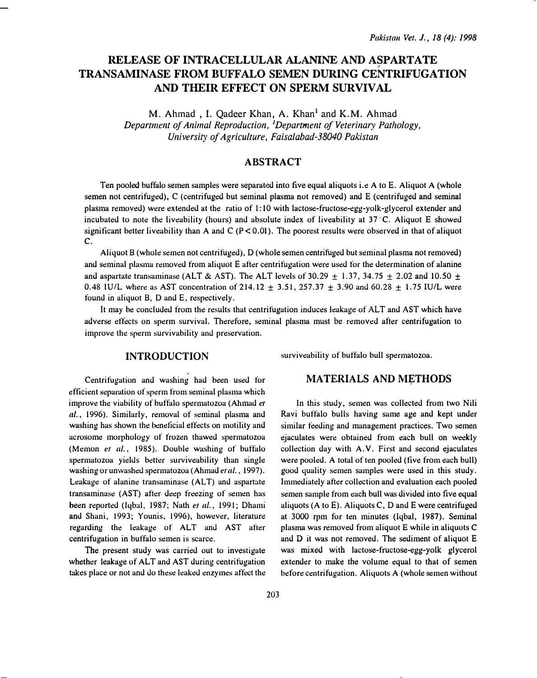# RELEASE OF INTRACELLULAR ALANINE AND ASPARTATE TRANSAMINASE FROM BUFFALO SEMEN DURING CENTRIFUGATION AND THEIR EFFECT ON SPERM SURVIVAL

M. Ahmad, I. Qadeer Khan, A. Khan<sup>1</sup> and K.M. Ahmad Department of Animal Reproduction, <sup>1</sup>Department of Veterinary Pathology, University of Agriculture, Faisalabad-38040 Pakistan

## ABSTRACT

Ten pooled buffalo semen samples were separated into five equal aliquots i. e A to E. Aliquot A (whole semen not centrifuged), C (centrifuged but seminal plasma not removed) and E (centrifuged and seminal plasma removed) were extended at the ratio of 1: 10 with lactose-fructose-egg-yolk-glycerol extender and incubated to note the liveability (hours) and absolute index of liveability at  $37^\circ$ C. Aliquot E showed significant better liveability than A and C ( $P < 0.01$ ). The poorest results were observed in that of aliquot c.

Aliquot B (whole semen not centrifuged), D (whole semen centrifuged but seminal plasma not removed) and seminal plasma removed from aliquot E after centrifugation were used for the determination of alanine and aspartate transaminase (ALT & AST). The ALT levels of 30.29  $\pm$  1.37, 34.75  $\pm$  2.02 and 10.50  $\pm$ 0.48 IU/L where as AST concentration of 214.12  $\pm$  3.51, 257.37  $\pm$  3.90 and 60.28  $\pm$  1.75 IU/L were found in aliquot B, D and E, respectively.

It may he concluded from the results that centrifugation induces leakage of ALT and AST which have adverse effects on sperm survival. Therefore, seminal plasma must he removed after centrifugation to improve the sperm survivability and preservation.

## INTRODUCTION

surviveability of buffalo bull spermatozoa.

Centrifugation and washing had been used for efficient separation of sperm from seminal plasma which improve the viability of buffalo spermatozoa (Ahmad er al., 1996). Similarly, removal of seminal plasma and washing has shown the beneticial effects on motility and acrosome morphology of frozen thawed spermatozoa (Memon et al., 1985). Double washing of buffalo spermatozoa yields better surviveability than single washing or unwashed spermatozoa (Ahmad et al., 1997). Leakage of alanine transaminase (ALT) and aspartate transaminase (AST) after deep freezing of semen has been reported (Iqbal, 1987; Nath et al., 1991; Dhami and Shani, 1993; Younis. 1996), however, literature regarding the leakage of ALT and AST after centrifugation in buffalo semen is scarce.

The present study was carried out to investigate whether leakage of ALT and AST during centrifugation takes place or not and do these leaked enzymes affect the

#### MATERIALS AND METHODS

In this study, semen was collected from two Nili Ravi buffalo bulls having same age and kept under similar feeding and management practices. Two semen ejaculates were obtained from each bull on weekly collection day with A. V. First and second ejaculates were pooled. A total of ten pooled (five from each bull) good quality semen samples were used in this study. Immediately after collection and evaluation each pooled semen sample from each hull was divided into five equal aliquots (A to E). Aliquots C, D and E were centrifuged at 3000 rpm for ten minutes (Iqbal, 1987). Seminal plasma was removed from aliquot E while in aliquots C and D it was not removed. The sediment of aliquot E was mixed with lactose-fructose-egg-yolk glycerol extender to make the volume equal to that of semen before centrifugation. Aliquots A (whole semen without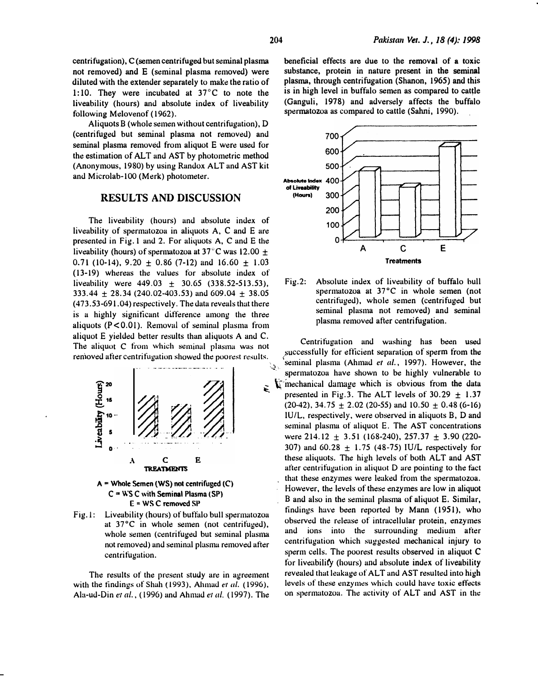centrifugation), C (semen centrifuged but seminal plasma not removed) and E (seminal plasma removed) were diluted with the extender separately to make the ratio of 1:10. They were incubated at 37°C to note the liveability (hours) and absolute index of liveability following Melovenof (1962).

Aliquots B (whole semen without centrifugation), D (centrifuged but seminal plasma not removed) and seminal plasma removed from aliquot E were used for the estimation of ALT and AST by photometric method (Anonymous, 1980) by using Randox ALT and AST kit and Microlab-100 (Merk) photometer.

### RESULTS AND DISCUSSION

The liveability (hours) and absolute index of liveability of spermatozoa in aliquots  $A$ ,  $C$  and  $E$  are presented in Fig. 1 and 2. For aliquots A, C and E the liveability (hours) of spermatozoa at 37 $\degree$ C was 12.00  $\pm$ 0.71 (10-14), 9.20  $\pm$  0.86 (7-12) and 16.60  $\pm$  1.03 (13-19) whereas the values for absolute index of liveability were  $449.03 \pm 30.65$  (338.52-513.53), 333.44  $\pm$  28.34 (240.02-403.53) and 609.04  $\pm$  38.05 (473.53-691.04) respectively. The data reveals thut there is a highly significant difference among the three aliquots ( $P < 0.01$ ). Removal of seminal plasma from aliquot E yielded better results than aliquots A and C. rennoved after centrifugation showed the poorest results.



Fig.l: Liveability (hours) of buft�alo bull spenmatozoa at 37°C in whole semen (not centrifuged). whole semen (centrifuged but seminal plasma not removed) and seminal plasma removed after centrifugation.

The results of the present study are in agreement with the findings of Shah (1993), Ahmad et al. (1996), Ala-ud-Din et al.,  $(1996)$  and Ahmad et al.  $(1997)$ . The beneficial effects are due to the removal of a toxic substance, protein in nature present in the seminal plasma, through centrifugation (Shanon, 1965) and this is in high level in buffalo semen as compared to cattle (Ganguli, 1978) and adversely affects the buffalo spermatozoa as compared to cattle (Sahni, 1990).



Fig.2: Absolute index of liveability of buffalo bull spermatozoa at 37°C in whole semen (not centrifuged), whole semen (centrifuged but seminal plasma not removed) and seminal plasma removed after centrifugation.

The aliquot C from which seminal plasma was not<br>The aliquot C from which seminal plasma was not successfully for efficient separation of sperm from the  $\mathcal{L}_{\mathcal{S}_{\text{in}}}$  'seminal plasma (Ahmad *et al.*, 1997). However, the spermatozoa have shown to be highly vulnerable to  $\sum_{k=1}^{\infty}$  inechanical damage which is obvious from the data presented in Fig.3. The ALT levels of  $30.29 \pm 1.37$  $(20-42)$ , 34.75  $\pm$  2.02 (20-55) and 10.50  $\pm$  0.48 (6-16) IU/L, respectively, were observed in aliquots B, D and seminal plasma of aliquot E. The AST concentrations were  $214.12 \pm 3.51$  (168-240),  $257.37 \pm 3.90$  (220-307) and  $60.28 \pm 1.75$  (48-75) IU/L respectively for these aliquots. The high levels of both ALT and AST after centrifugation in aliquot D are pointing to the tact that these enzymes were leaked from the spermatozoa. However, the levels of these enzymes are low in aliquot B and also in the seminal plasma of aliquot E. Similar, findings have been reported by Mann (1951), who observed the release of intracellular protein, enzymes and ions into the surrounding medium after centrifugation which suggested mechanical injury to sperm cells. The poorest results observed in aliquot C for liveubilit'y (hours) and absolute index of liveability revealed that leakage of ALT and AST resulted into high levels of these enzymes which could have toxic effects on spermatozoa. The activity of ALT and AST in the